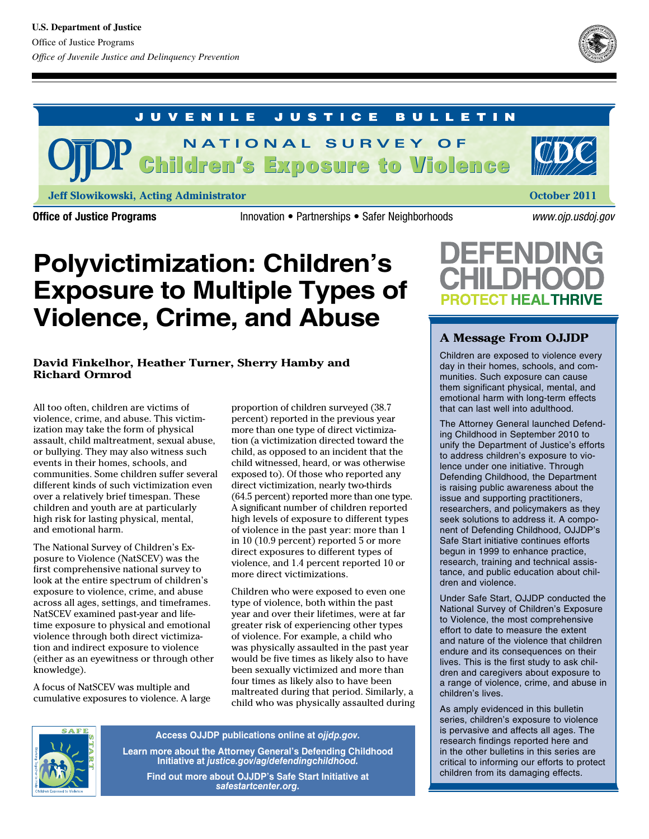

#### **JUVENILE JUSTICE BULLETIN**

Children's Exposure to Violence Children's Exposure to Violence **N A T I O N A L S U R V E Y O F**

**Jeff Slowikowski, Acting Administrator**

Office of Justice Programs **Innovation • Partnerships • Safer Neighborhoods** *www.ojp.usdoj.gov* 

**October 2011**

# **Polyvictimization: Children's Exposure to Multiple Types of Violence, Crime, and Abuse**

### **David Finkelhor, Heather Turner, Sherry Hamby and Richard Ormrod**

All too often, children are victims of violence, crime, and abuse. This victimization may take the form of physical assault, child maltreatment, sexual abuse, or bullying. They may also witness such events in their homes, schools, and communities. Some children suffer several different kinds of such victimization even over a relatively brief timespan. These children and youth are at particularly high risk for lasting physical, mental, and emotional harm.

The National Survey of Children's Exposure to Violence (NatSCEV) was the first comprehensive national survey to look at the entire spectrum of children's exposure to violence, crime, and abuse across all ages, settings, and timeframes. NatSCEV examined past-year and lifetime exposure to physical and emotional violence through both direct victimization and indirect exposure to violence (either as an eyewitness or through other knowledge).

A focus of NatSCEV was multiple and cumulative exposures to violence. A large proportion of children surveyed (38.7 percent) reported in the previous year more than one type of direct victimization (a victimization directed toward the child, as opposed to an incident that the child witnessed, heard, or was otherwise exposed to). Of those who reported any direct victimization, nearly two-thirds (64.5 percent) reported more than one type. A significant number of children reported high levels of exposure to different types of violence in the past year: more than 1 in 10 (10.9 percent) reported 5 or more direct exposures to different types of violence, and 1.4 percent reported 10 or more direct victimizations.

Children who were exposed to even one type of violence, both within the past year and over their lifetimes, were at far greater risk of experiencing other types of violence. For example, a child who was physically assaulted in the past year would be five times as likely also to have been sexually victimized and more than four times as likely also to have been maltreated during that period. Similarly, a child who was physically assaulted during



**Access OJJDP publications online at** *ojjdp.gov.* **Learn more about the Attorney General's Defending Childhood Initiative at** *justice.gov/ag/defendingchildhood.*

**Find out more about OJJDP's Safe Start Initiative at**  *safestartcenter.org.*



### **A Message From OJJDP**

Children are exposed to violence every day in their homes, schools, and communities. Such exposure can cause them significant physical, mental, and emotional harm with long-term effects that can last well into adulthood.

The Attorney General launched Defending Childhood in September 2010 to unify the Department of Justice's efforts to address children's exposure to violence under one initiative. Through Defending Childhood, the Department is raising public awareness about the issue and supporting practitioners, researchers, and policymakers as they seek solutions to address it. A component of Defending Childhood, OJJDP's Safe Start initiative continues efforts begun in 1999 to enhance practice, research, training and technical assistance, and public education about children and violence.

Under Safe Start, OJJDP conducted the National Survey of Children's Exposure to Violence, the most comprehensive effort to date to measure the extent and nature of the violence that children endure and its consequences on their lives. This is the first study to ask children and caregivers about exposure to a range of violence, crime, and abuse in children's lives.

As amply evidenced in this bulletin series, children's exposure to violence is pervasive and affects all ages. The research findings reported here and in the other bulletins in this series are critical to informing our efforts to protect children from its damaging effects.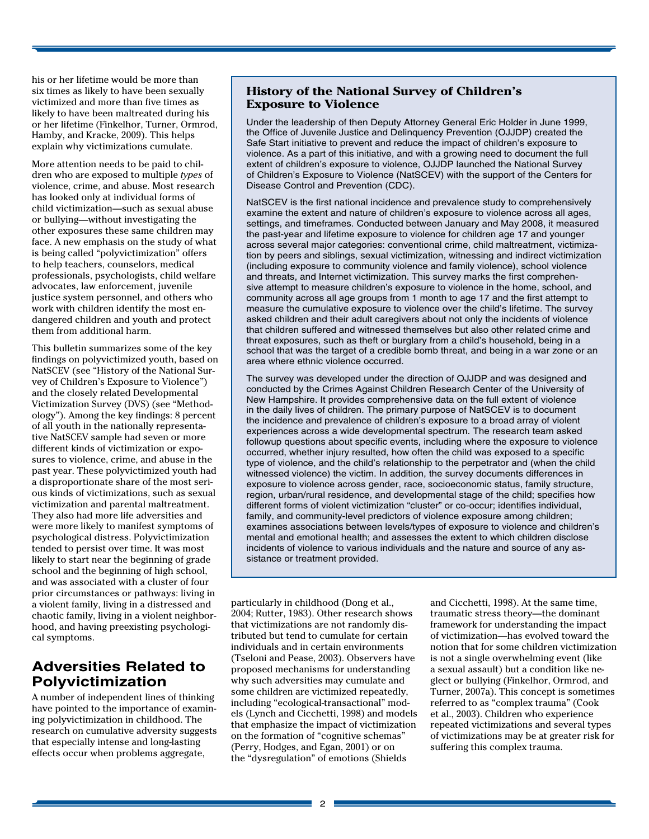his or her lifetime would be more than six times as likely to have been sexually victimized and more than five times as likely to have been maltreated during his or her lifetime (Finkelhor, Turner, Ormrod, Hamby, and Kracke, 2009). This helps explain why victimizations cumulate.

More attention needs to be paid to children who are exposed to multiple *types* of violence, crime, and abuse. Most research has looked only at individual forms of child victimization—such as sexual abuse or bullying—without investigating the other exposures these same children may face. A new emphasis on the study of what is being called "polyvictimization" offers to help teachers, counselors, medical professionals, psychologists, child welfare advocates, law enforcement, juvenile justice system personnel, and others who work with children identify the most endangered children and youth and protect them from additional harm.

This bulletin summarizes some of the key findings on polyvictimized youth, based on NatSCEV (see "History of the National Survey of Children's Exposure to Violence") and the closely related Developmental Victimization Survey (DVS) (see "Methodology"). Among the key findings: 8 percent of all youth in the nationally representative NatSCEV sample had seven or more different kinds of victimization or exposures to violence, crime, and abuse in the past year. These polyvictimized youth had a disproportionate share of the most serious kinds of victimizations, such as sexual victimization and parental maltreatment. They also had more life adversities and were more likely to manifest symptoms of psychological distress. Polyvictimization tended to persist over time. It was most likely to start near the beginning of grade school and the beginning of high school, and was associated with a cluster of four prior circumstances or pathways: living in a violent family, living in a distressed and chaotic family, living in a violent neighborhood, and having preexisting psychological symptoms.

### **Adversities Related to Polyvictimization**

A number of independent lines of thinking have pointed to the importance of examining polyvictimization in childhood. The research on cumulative adversity suggests that especially intense and long-lasting effects occur when problems aggregate,

### **History of the National Survey of Children's Exposure to Violence**

Under the leadership of then Deputy Attorney General Eric Holder in June 1999, the Office of Juvenile Justice and Delinquency Prevention (OJJDP) created the Safe Start initiative to prevent and reduce the impact of children's exposure to violence. As a part of this initiative, and with a growing need to document the full extent of children's exposure to violence, OJJDP launched the National Survey of Children's Exposure to Violence (NatSCEV) with the support of the Centers for Disease Control and Prevention (CDC).

NatSCEV is the first national incidence and prevalence study to comprehensively examine the extent and nature of children's exposure to violence across all ages, settings, and timeframes. Conducted between January and May 2008, it measured the past-year and lifetime exposure to violence for children age 17 and younger across several major categories: conventional crime, child maltreatment, victimization by peers and siblings, sexual victimization, witnessing and indirect victimization (including exposure to community violence and family violence), school violence and threats, and Internet victimization. This survey marks the first comprehensive attempt to measure children's exposure to violence in the home, school, and community across all age groups from 1 month to age 17 and the first attempt to measure the cumulative exposure to violence over the child's lifetime. The survey asked children and their adult caregivers about not only the incidents of violence that children suffered and witnessed themselves but also other related crime and threat exposures, such as theft or burglary from a child's household, being in a school that was the target of a credible bomb threat, and being in a war zone or an area where ethnic violence occurred.

The survey was developed under the direction of OJJDP and was designed and conducted by the Crimes Against Children Research Center of the University of New Hampshire. It provides comprehensive data on the full extent of violence in the daily lives of children. The primary purpose of NatSCEV is to document the incidence and prevalence of children's exposure to a broad array of violent experiences across a wide developmental spectrum. The research team asked followup questions about specific events, including where the exposure to violence occurred, whether injury resulted, how often the child was exposed to a specific type of violence, and the child's relationship to the perpetrator and (when the child witnessed violence) the victim. In addition, the survey documents differences in exposure to violence across gender, race, socioeconomic status, family structure, region, urban/rural residence, and developmental stage of the child; specifies how different forms of violent victimization "cluster" or co-occur; identifies individual, family, and community-level predictors of violence exposure among children; examines associations between levels/types of exposure to violence and children's mental and emotional health; and assesses the extent to which children disclose incidents of violence to various individuals and the nature and source of any assistance or treatment provided.

particularly in childhood (Dong et al., 2004; Rutter, 1983). Other research shows that victimizations are not randomly distributed but tend to cumulate for certain individuals and in certain environments (Tseloni and Pease, 2003). Observers have proposed mechanisms for understanding why such adversities may cumulate and some children are victimized repeatedly, including "ecological-transactional" models (Lynch and Cicchetti, 1998) and models that emphasize the impact of victimization on the formation of "cognitive schemas" (Perry, Hodges, and Egan, 2001) or on the "dysregulation" of emotions (Shields

and Cicchetti, 1998). At the same time, traumatic stress theory—the dominant framework for understanding the impact of victimization—has evolved toward the notion that for some children victimization is not a single overwhelming event (like a sexual assault) but a condition like neglect or bullying (Finkelhor, Ormrod, and Turner, 2007a). This concept is sometimes referred to as "complex trauma" (Cook et al., 2003). Children who experience repeated victimizations and several types of victimizations may be at greater risk for suffering this complex trauma.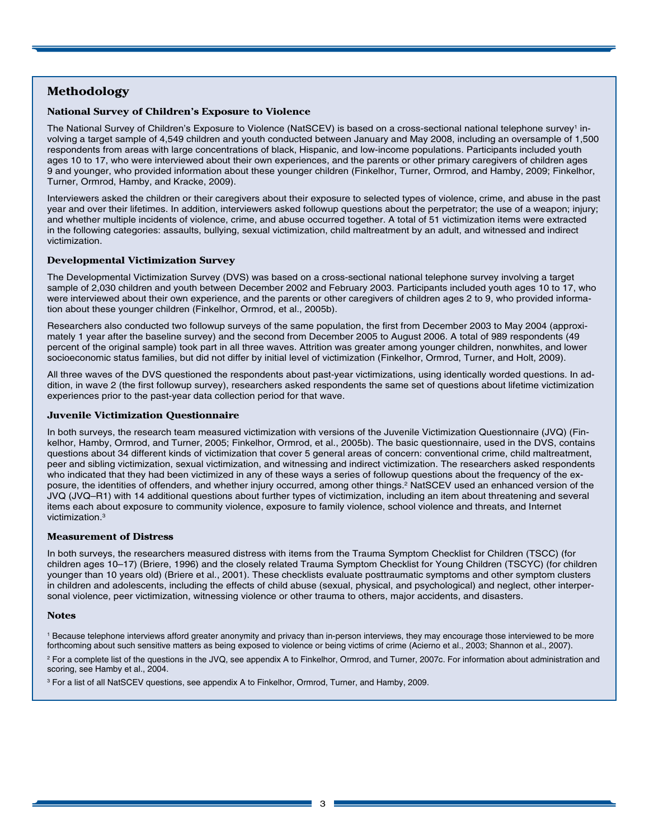### **Methodology**

#### **National Survey of Children's Exposure to Violence**

The National Survey of Children's Exposure to Violence (NatSCEV) is based on a cross-sectional national telephone survey<sup>1</sup> involving a target sample of 4,549 children and youth conducted between January and May 2008, including an oversample of 1,500 respondents from areas with large concentrations of black, Hispanic, and low-income populations. Participants included youth ages 10 to 17, who were interviewed about their own experiences, and the parents or other primary caregivers of children ages 9 and younger, who provided information about these younger children (Finkelhor, Turner, Ormrod, and Hamby, 2009; Finkelhor, Turner, Ormrod, Hamby, and Kracke, 2009).

Interviewers asked the children or their caregivers about their exposure to selected types of violence, crime, and abuse in the past year and over their lifetimes. In addition, interviewers asked followup questions about the perpetrator; the use of a weapon; injury; and whether multiple incidents of violence, crime, and abuse occurred together. A total of 51 victimization items were extracted in the following categories: assaults, bullying, sexual victimization, child maltreatment by an adult, and witnessed and indirect victimization.

#### **Developmental Victimization Survey**

The Developmental Victimization Survey (DVS) was based on a cross-sectional national telephone survey involving a target sample of 2,030 children and youth between December 2002 and February 2003. Participants included youth ages 10 to 17, who were interviewed about their own experience, and the parents or other caregivers of children ages 2 to 9, who provided information about these younger children (Finkelhor, Ormrod, et al., 2005b).

Researchers also conducted two followup surveys of the same population, the first from December 2003 to May 2004 (approximately 1 year after the baseline survey) and the second from December 2005 to August 2006. A total of 989 respondents (49 percent of the original sample) took part in all three waves. Attrition was greater among younger children, nonwhites, and lower socioeconomic status families, but did not differ by initial level of victimization (Finkelhor, Ormrod, Turner, and Holt, 2009).

All three waves of the DVS questioned the respondents about past-year victimizations, using identically worded questions. In addition, in wave 2 (the first followup survey), researchers asked respondents the same set of questions about lifetime victimization experiences prior to the past-year data collection period for that wave.

#### **Juvenile Victimization Questionnaire**

In both surveys, the research team measured victimization with versions of the Juvenile Victimization Questionnaire (JVQ) (Finkelhor, Hamby, Ormrod, and Turner, 2005; Finkelhor, Ormrod, et al., 2005b). The basic questionnaire, used in the DVS, contains questions about 34 different kinds of victimization that cover 5 general areas of concern: conventional crime, child maltreatment, peer and sibling victimization, sexual victimization, and witnessing and indirect victimization. The researchers asked respondents who indicated that they had been victimized in any of these ways a series of followup questions about the frequency of the exposure, the identities of offenders, and whether injury occurred, among other things.<sup>2</sup> NatSCEV used an enhanced version of the JVQ (JVQ–R1) with 14 additional questions about further types of victimization, including an item about threatening and several items each about exposure to community violence, exposure to family violence, school violence and threats, and Internet victimization.3

#### **Measurement of Distress**

In both surveys, the researchers measured distress with items from the Trauma Symptom Checklist for Children (TSCC) (for children ages 10–17) (Briere, 1996) and the closely related Trauma Symptom Checklist for Young Children (TSCYC) (for children younger than 10 years old) (Briere et al., 2001). These checklists evaluate posttraumatic symptoms and other symptom clusters in children and adolescents, including the effects of child abuse (sexual, physical, and psychological) and neglect, other interpersonal violence, peer victimization, witnessing violence or other trauma to others, major accidents, and disasters.

#### **Notes**

1 Because telephone interviews afford greater anonymity and privacy than in-person interviews, they may encourage those interviewed to be more forthcoming about such sensitive matters as being exposed to violence or being victims of crime (Acierno et al., 2003; Shannon et al., 2007).

2 For a complete list of the questions in the JVQ, see appendix A to Finkelhor, Ormrod, and Turner, 2007c. For information about administration and scoring, see Hamby et al., 2004.

3 For a list of all NatSCEV questions, see appendix A to Finkelhor, Ormrod, Turner, and Hamby, 2009.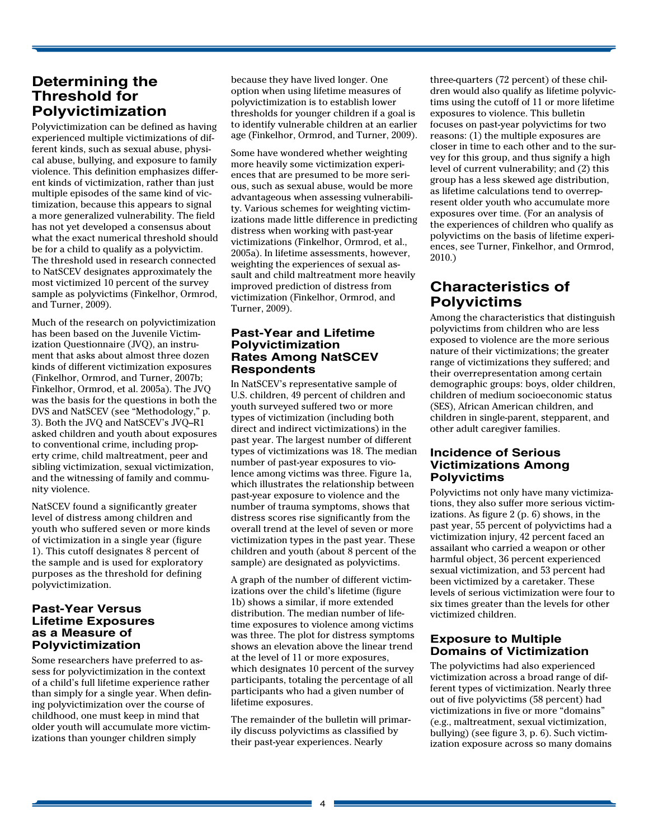### **Determining the Threshold for Polyvictimization**

Polyvictimization can be defined as having experienced multiple victimizations of different kinds, such as sexual abuse, physical abuse, bullying, and exposure to family violence. This definition emphasizes different kinds of victimization, rather than just multiple episodes of the same kind of victimization, because this appears to signal a more generalized vulnerability. The field has not yet developed a consensus about what the exact numerical threshold should be for a child to qualify as a polyvictim. The threshold used in research connected to NatSCEV designates approximately the most victimized 10 percent of the survey sample as polyvictims (Finkelhor, Ormrod, and Turner, 2009).

Much of the research on polyvictimization has been based on the Juvenile Victimization Questionnaire (JVQ), an instrument that asks about almost three dozen kinds of different victimization exposures (Finkelhor, Ormrod, and Turner, 2007b; Finkelhor, Ormrod, et al. 2005a). The JVQ was the basis for the questions in both the DVS and NatSCEV (see "Methodology," p. 3). Both the JVQ and NatSCEV's JVQ–R1 asked children and youth about exposures to conventional crime, including property crime, child maltreatment, peer and sibling victimization, sexual victimization, and the witnessing of family and community violence.

NatSCEV found a significantly greater level of distress among children and youth who suffered seven or more kinds of victimization in a single year (figure 1). This cutoff designates 8 percent of the sample and is used for exploratory purposes as the threshold for defining polyvictimization.

#### **Past-Year Versus Lifetime Exposures as a Measure of Polyvictimization**

Some researchers have preferred to assess for polyvictimization in the context of a child's full lifetime experience rather than simply for a single year. When defining polyvictimization over the course of childhood, one must keep in mind that older youth will accumulate more victimizations than younger children simply

because they have lived longer. One option when using lifetime measures of polyvictimization is to establish lower thresholds for younger children if a goal is to identify vulnerable children at an earlier age (Finkelhor, Ormrod, and Turner, 2009).

Some have wondered whether weighting more heavily some victimization experiences that are presumed to be more serious, such as sexual abuse, would be more advantageous when assessing vulnerability. Various schemes for weighting victimizations made little difference in predicting distress when working with past-year victimizations (Finkelhor, Ormrod, et al., 2005a). In lifetime assessments, however, weighting the experiences of sexual assault and child maltreatment more heavily improved prediction of distress from victimization (Finkelhor, Ormrod, and Turner, 2009).

### **Past-Year and Lifetime Polyvictimization Rates Among NatSCEV Respondents**

In NatSCEV's representative sample of U.S. children, 49 percent of children and youth surveyed suffered two or more types of victimization (including both direct and indirect victimizations) in the past year. The largest number of different types of victimizations was 18. The median number of past-year exposures to violence among victims was three. Figure 1a, which illustrates the relationship between past-year exposure to violence and the number of trauma symptoms, shows that distress scores rise significantly from the overall trend at the level of seven or more victimization types in the past year. These children and youth (about 8 percent of the sample) are designated as polyvictims.

A graph of the number of different victimizations over the child's lifetime (figure 1b) shows a similar, if more extended distribution. The median number of lifetime exposures to violence among victims was three. The plot for distress symptoms shows an elevation above the linear trend at the level of 11 or more exposures, which designates 10 percent of the survey participants, totaling the percentage of all participants who had a given number of lifetime exposures.

The remainder of the bulletin will primarily discuss polyvictims as classified by their past-year experiences. Nearly

three-quarters (72 percent) of these children would also qualify as lifetime polyvictims using the cutoff of 11 or more lifetime exposures to violence. This bulletin focuses on past-year polyvictims for two reasons: (1) the multiple exposures are closer in time to each other and to the survey for this group, and thus signify a high level of current vulnerability; and (2) this group has a less skewed age distribution, as lifetime calculations tend to overrepresent older youth who accumulate more exposures over time. (For an analysis of the experiences of children who qualify as polyvictims on the basis of lifetime experiences, see Turner, Finkelhor, and Ormrod, 2010.)

## **Characteristics of Polyvictims**

Among the characteristics that distinguish polyvictims from children who are less exposed to violence are the more serious nature of their victimizations; the greater range of victimizations they suffered; and their overrepresentation among certain demographic groups: boys, older children, children of medium socioeconomic status (SES), African American children, and children in single-parent, stepparent, and other adult caregiver families.

### **Incidence of Serious Victimizations Among Polyvictims**

Polyvictims not only have many victimizations, they also suffer more serious victimizations. As figure 2 (p. 6) shows, in the past year, 55 percent of polyvictims had a victimization injury, 42 percent faced an assailant who carried a weapon or other harmful object, 36 percent experienced sexual victimization, and 53 percent had been victimized by a caretaker. These levels of serious victimization were four to six times greater than the levels for other victimized children.

### **Exposure to Multiple Domains of Victimization**

The polyvictims had also experienced victimization across a broad range of different types of victimization. Nearly three out of five polyvictims (58 percent) had victimizations in five or more "domains" (e.g., maltreatment, sexual victimization, bullying) (see figure 3, p. 6). Such victimization exposure across so many domains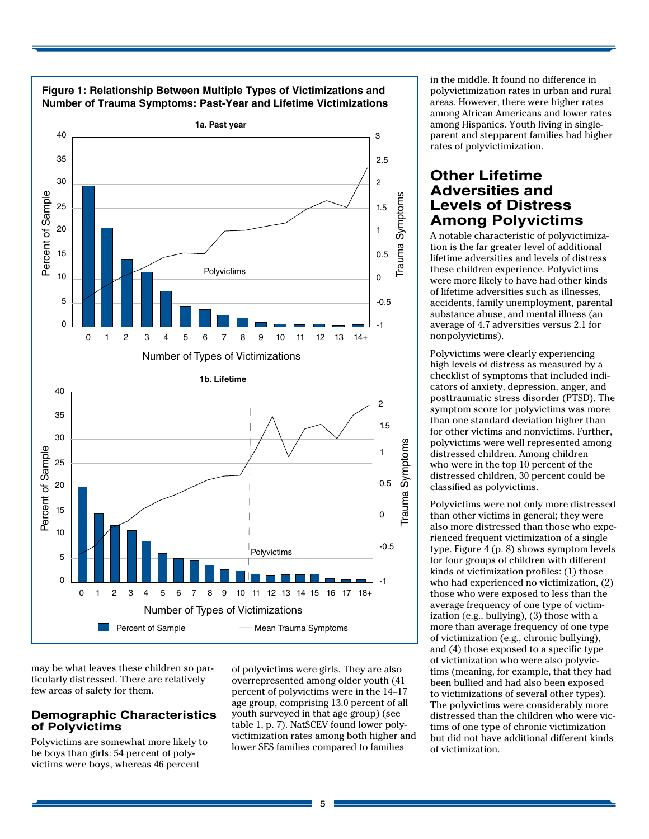

**Figure 1: Relationship Between Multiple Types of Victimizations and** 

may be what leaves these children so particularly distressed. There are relatively few areas of safety for them.

#### **Demographic Characteristics of Polyvictims**

Polyvictims are somewhat more likely to be boys than girls: 54 percent of polyvictims were boys, whereas 46 percent

of polyvictims were girls. They are also overrepresented among older youth (41 percent of polyvictims were in the 14–17 age group, comprising 13.0 percent of all youth surveyed in that age group) (see table 1, p. 7). NatSCEV found lower polyvictimization rates among both higher and lower SES families compared to families

in the middle. It found no difference in polyvictimization rates in urban and rural areas. However, there were higher rates among African Americans and lower rates among Hispanics. Youth living in singleparent and stepparent families had higher rates of polyvictimization.

### **Other Lifetime Adversities and Levels of Distress Among Polyvictims**

A notable characteristic of polyvictimization is the far greater level of additional lifetime adversities and levels of distress these children experience. Polyvictims were more likely to have had other kinds of lifetime adversities such as illnesses, accidents, family unemployment, parental substance abuse, and mental illness (an average of 4.7 adversities versus 2.1 for nonpolyvictims).

Polyvictims were clearly experiencing high levels of distress as measured by a checklist of symptoms that included indicators of anxiety, depression, anger, and posttraumatic stress disorder (PTSD). The symptom score for polyvictims was more than one standard deviation higher than for other victims and nonvictims. Further, polyvictims were well represented among distressed children. Among children who were in the top 10 percent of the distressed children, 30 percent could be classified as polyvictims.

Polyvictims were not only more distressed than other victims in general; they were also more distressed than those who experienced frequent victimization of a single type. Figure 4 (p. 8) shows symptom levels for four groups of children with different kinds of victimization profiles: (1) those who had experienced no victimization, (2) those who were exposed to less than the average frequency of one type of victimization (e.g., bullying), (3) those with a more than average frequency of one type of victimization (e.g., chronic bullying), and (4) those exposed to a specific type of victimization who were also polyvictims (meaning, for example, that they had been bullied and had also been exposed to victimizations of several other types). The polyvictims were considerably more distressed than the children who were victims of one type of chronic victimization but did not have additional different kinds of victimization.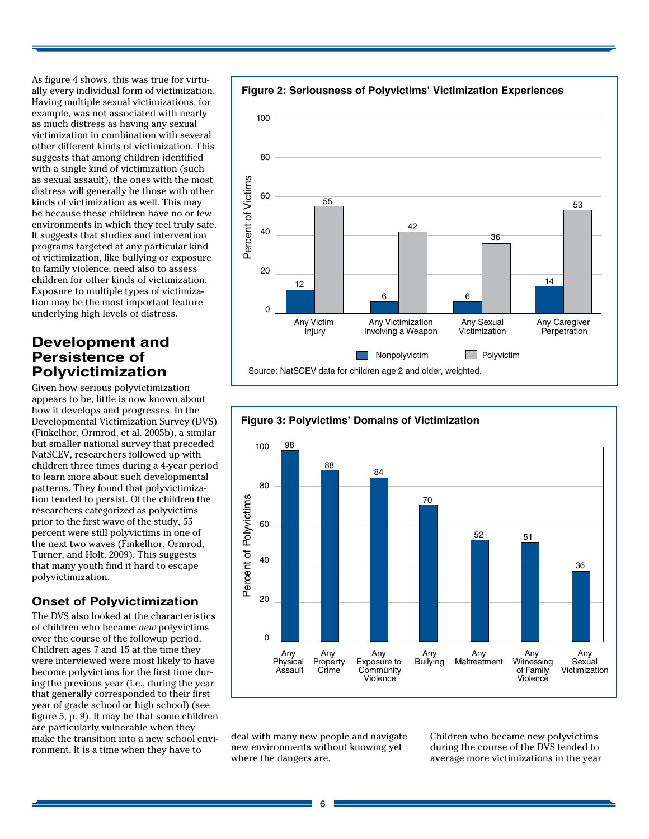As figure 4 shows, this was true for virtually every individual form of victimization. Having multiple sexual victimizations, for example, was not associated with nearly as much distress as having any sexual victimization in combination with several other different kinds of victimization. This suggests that among children identified with a single kind of victimization (such as sexual assault), the ones with the most distress will generally be those with other kinds of victimization as well. This may be because these children have no or few environments in which they feel truly safe. It suggests that studies and intervention programs targeted at any particular kind of victimization, like bullying or exposure to family violence, need also to assess children for other kinds of victimization. Exposure to multiple types of victimization may be the most important feature underlying high levels of distress.

### **Development and Persistence of Polyvictimization**

Given how serious polyvictimization appears to be, little is now known about how it develops and progresses. In the Developmental Victimization Survey (DVS) (Finkelhor, Ormrod, et al. 2005b), a similar but smaller national survey that preceded NatSCEV, researchers followed up with children three times during a 4-year period to learn more about such developmental patterns. They found that polyvictimization tended to persist. Of the children the researchers categorized as polyvictims prior to the first wave of the study, 55 percent were still polyvictims in one of the next two waves (Finkelhor, Ormrod, Turner, and Holt, 2009). This suggests that many youth find it hard to escape polyvictimization.

### **Onset of Polyvictimization**

The DVS also looked at the characteristics of children who became *new* polyvictims over the course of the followup period. Children ages 7 and 15 at the time they were interviewed were most likely to have become polyvictims for the first time during the previous year (i.e., during the year that generally corresponded to their first year of grade school or high school) (see figure 5, p. 9). It may be that some children are particularly vulnerable when they make the transition into a new school environment. It is a time when they have to





deal with many new people and navigate new environments without knowing yet where the dangers are.

Children who became new polyvictims during the course of the DVS tended to average more victimizations in the year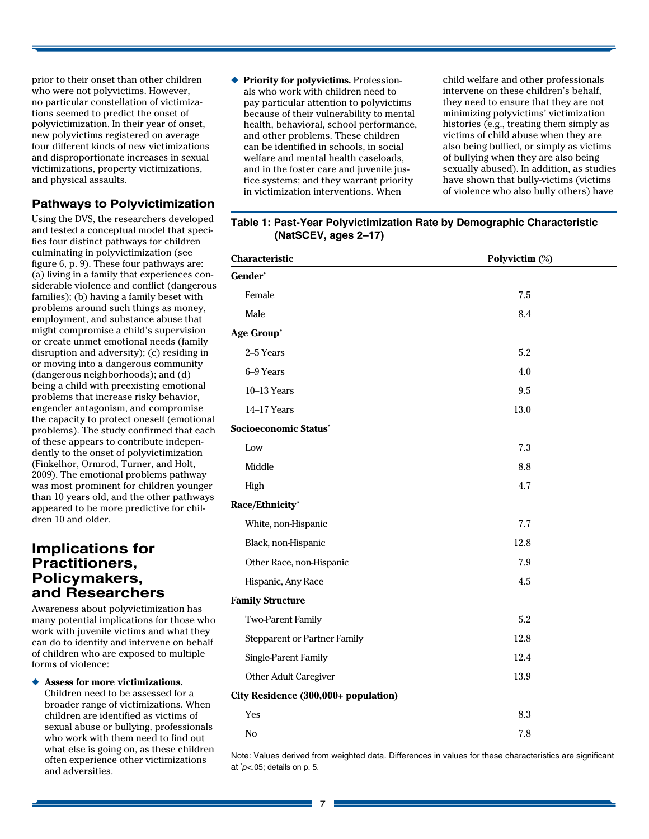prior to their onset than other children who were not polyvictims. However, no particular constellation of victimizations seemed to predict the onset of polyvictimization. In their year of onset, new polyvictims registered on average four different kinds of new victimizations and disproportionate increases in sexual victimizations, property victimizations, and physical assaults.

### **Pathways to Polyvictimization**

Using the DVS, the researchers developed and tested a conceptual model that specifies four distinct pathways for children culminating in polyvictimization (see figure 6, p. 9). These four pathways are: (a) living in a family that experiences considerable violence and conflict (dangerous families); (b) having a family beset with problems around such things as money, employment, and substance abuse that might compromise a child's supervision or create unmet emotional needs (family disruption and adversity); (c) residing in or moving into a dangerous community (dangerous neighborhoods); and (d) being a child with preexisting emotional problems that increase risky behavior, engender antagonism, and compromise the capacity to protect oneself (emotional problems). The study confirmed that each of these appears to contribute independently to the onset of polyvictimization (Finkelhor, Ormrod, Turner, and Holt, 2009). The emotional problems pathway was most prominent for children younger than 10 years old, and the other pathways appeared to be more predictive for children 10 and older.

### **Implications for Practitioners, Policymakers, and Researchers**

Awareness about polyvictimization has many potential implications for those who work with juvenile victims and what they can do to identify and intervene on behalf of children who are exposed to multiple forms of violence:

Assess for more victimizations. Children need to be assessed for a broader range of victimizations. When children are identified as victims of sexual abuse or bullying, professionals who work with them need to find out what else is going on, as these children often experience other victimizations and adversities.

◆ **Priority for polyvictims.** Professionals who work with children need to pay particular attention to polyvictims because of their vulnerability to mental health, behavioral, school performance, and other problems. These children can be identified in schools, in social welfare and mental health caseloads, and in the foster care and juvenile justice systems; and they warrant priority in victimization interventions. When

child welfare and other professionals intervene on these children's behalf, they need to ensure that they are not minimizing polyvictims' victimization histories (e.g., treating them simply as victims of child abuse when they are also being bullied, or simply as victims of bullying when they are also being sexually abused). In addition, as studies have shown that bully-victims (victims of violence who also bully others) have

| Characteristic                       | Polyvictim (%) |
|--------------------------------------|----------------|
| Gender*                              |                |
| Female                               | 7.5            |
| Male                                 | 8.4            |
| Age Group*                           |                |
| 2-5 Years                            | 5.2            |
| 6-9 Years                            | 4.0            |
| 10-13 Years                          | 9.5            |
| 14-17 Years                          | 13.0           |
| Socioeconomic Status'                |                |
| Low                                  | 7.3            |
| Middle                               | 8.8            |
| High                                 | 4.7            |
| Race/Ethnicity*                      |                |
| White, non-Hispanic                  | 7.7            |
| Black, non-Hispanic                  | 12.8           |
| Other Race, non-Hispanic             | 7.9            |
| Hispanic, Any Race                   | 4.5            |
| <b>Family Structure</b>              |                |
| <b>Two-Parent Family</b>             | 5.2            |
| <b>Stepparent or Partner Family</b>  | 12.8           |
| Single-Parent Family                 | 12.4           |
| Other Adult Caregiver                | 13.9           |
| City Residence (300,000+ population) |                |
| Yes                                  | 8.3            |

### **Table 1: Past-Year Polyvictimization Rate by Demographic Characteristic (NatSCEV, ages 2–17)**

Note: Values derived from weighted data. Differences in values for these characteristics are significant at \* *p<*.05; details on p. 5.

No  $7.8$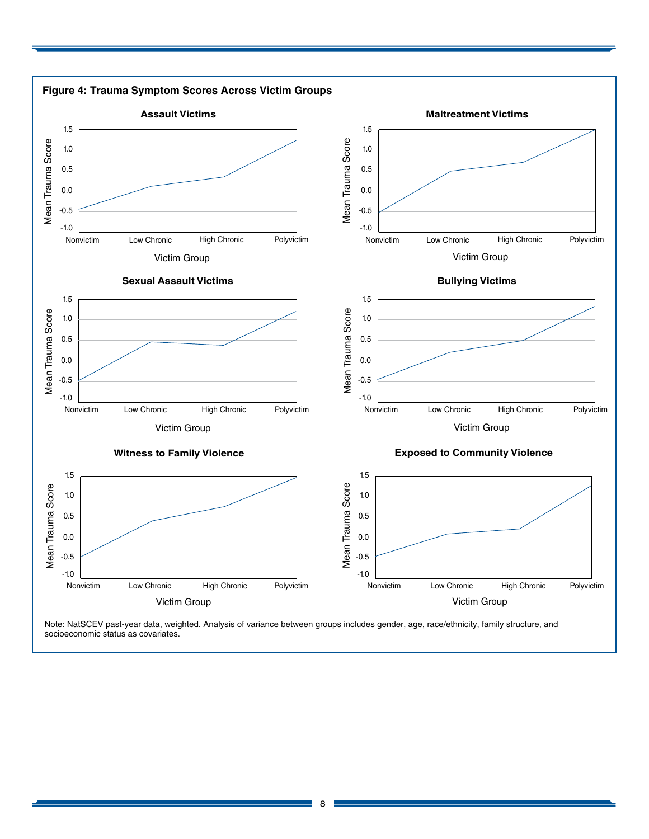

Note: NatSCEV past-year data, weighted. Analysis of variance between groups includes gender, age, race/ethnicity, family structure, and socioeconomic status as covariates.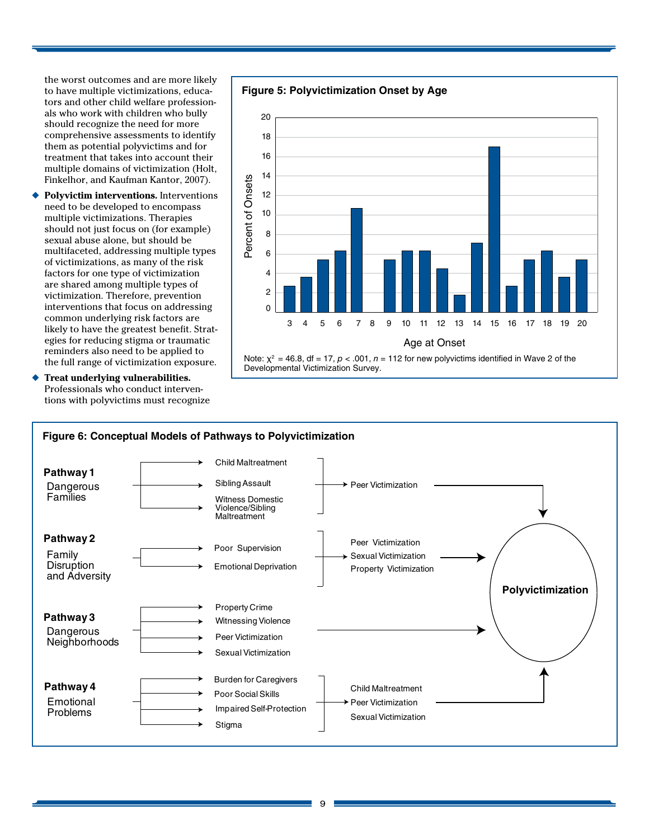the worst outcomes and are more likely to have multiple victimizations, educators and other child welfare professionals who work with children who bully should recognize the need for more comprehensive assessments to identify them as potential polyvictims and for treatment that takes into account their multiple domains of victimization (Holt, Finkelhor, and Kaufman Kantor, 2007).

◆ **Polyvictim interventions.** Interventions need to be developed to encompass multiple victimizations. Therapies should not just focus on (for example) sexual abuse alone, but should be multifaceted, addressing multiple types of victimizations, as many of the risk factors for one type of victimization are shared among multiple types of victimization. Therefore, prevention interventions that focus on addressing common underlying risk factors are likely to have the greatest benefit. Strategies for reducing stigma or traumatic reminders also need to be applied to the full range of victimization exposure.

**Treat underlying vulnerabilities.** Professionals who conduct interventions with polyvictims must recognize





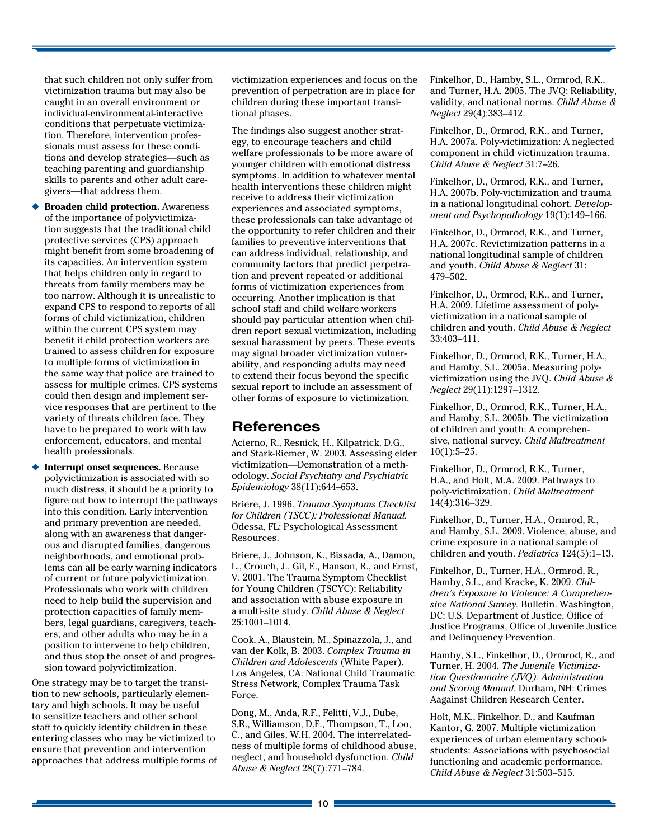that such children not only suffer from victimization trauma but may also be caught in an overall environment or individual-environmental-interactive conditions that perpetuate victimization. Therefore, intervention professionals must assess for these conditions and develop strategies—such as teaching parenting and guardianship skills to parents and other adult caregivers—that address them.

- **◆ Broaden child protection.** Awareness of the importance of polyvictimization suggests that the traditional child protective services (CPS) approach might benefit from some broadening of its capacities. An intervention system that helps children only in regard to threats from family members may be too narrow. Although it is unrealistic to expand CPS to respond to reports of all forms of child victimization, children within the current CPS system may benefit if child protection workers are trained to assess children for exposure to multiple forms of victimization in the same way that police are trained to assess for multiple crimes. CPS systems could then design and implement service responses that are pertinent to the variety of threats children face. They have to be prepared to work with law enforcement, educators, and mental health professionals.
- **Interrupt onset sequences.** Because polyvictimization is associated with so much distress, it should be a priority to figure out how to interrupt the pathways into this condition. Early intervention and primary prevention are needed, along with an awareness that dangerous and disrupted families, dangerous neighborhoods, and emotional problems can all be early warning indicators of current or future polyvictimization. Professionals who work with children need to help build the supervision and protection capacities of family members, legal guardians, caregivers, teachers, and other adults who may be in a position to intervene to help children, and thus stop the onset of and progression toward polyvictimization.

One strategy may be to target the transition to new schools, particularly elementary and high schools. It may be useful to sensitize teachers and other school staff to quickly identify children in these entering classes who may be victimized to ensure that prevention and intervention approaches that address multiple forms of victimization experiences and focus on the prevention of perpetration are in place for children during these important transitional phases.

The findings also suggest another strategy, to encourage teachers and child welfare professionals to be more aware of younger children with emotional distress symptoms. In addition to whatever mental health interventions these children might receive to address their victimization experiences and associated symptoms, these professionals can take advantage of the opportunity to refer children and their families to preventive interventions that can address individual, relationship, and community factors that predict perpetration and prevent repeated or additional forms of victimization experiences from occurring. Another implication is that school staff and child welfare workers should pay particular attention when children report sexual victimization, including sexual harassment by peers. These events may signal broader victimization vulnerability, and responding adults may need to extend their focus beyond the specific sexual report to include an assessment of other forms of exposure to victimization.

### **References**

Acierno, R., Resnick, H., Kilpatrick, D.G., and Stark-Riemer, W. 2003. Assessing elder victimization—Demonstration of a methodology. *Social Psychiatry and Psychiatric Epidemiology* 38(11):644–653.

Briere, J. 1996. *Trauma Symptoms Checklist for Children (TSCC): Professional Manual.*  Odessa, FL: Psychological Assessment Resources.

Briere, J., Johnson, K., Bissada, A., Damon, L., Crouch, J., Gil, E., Hanson, R., and Ernst, V. 2001. The Trauma Symptom Checklist for Young Children (TSCYC): Reliability and association with abuse exposure in a multi-site study. *Child Abuse & Neglect* 25:1001–1014.

Cook, A., Blaustein, M., Spinazzola, J., and van der Kolk, B. 2003. *Complex Trauma in Children and Adolescents* (White Paper). Los Angeles, CA: National Child Traumatic Stress Network, Complex Trauma Task Force.

Dong, M., Anda, R.F., Felitti, V.J., Dube, S.R., Williamson, D.F., Thompson, T., Loo, C., and Giles, W.H. 2004. The interrelatedness of multiple forms of childhood abuse, neglect, and household dysfunction. *Child Abuse & Neglect* 28(7):771–784.

Finkelhor, D., Hamby, S.L., Ormrod, R.K., and Turner, H.A. 2005. The JVQ: Reliability, validity, and national norms. *Child Abuse & Neglect* 29(4):383–412.

Finkelhor, D., Ormrod, R.K., and Turner, H.A. 2007a. Poly-victimization: A neglected component in child victimization trauma. *Child Abuse & Neglect* 31:7–26.

Finkelhor, D., Ormrod, R.K., and Turner, H.A. 2007b. Poly-victimization and trauma in a national longitudinal cohort. *Development and Psychopathology* 19(1):149–166.

Finkelhor, D., Ormrod, R.K., and Turner, H.A. 2007c. Revictimization patterns in a national longitudinal sample of children and youth. *Child Abuse & Neglect* 31: 479–502.

Finkelhor, D., Ormrod, R.K., and Turner, H.A. 2009. Lifetime assessment of polyvictimization in a national sample of children and youth. *Child Abuse & Neglect*  33:403–411.

Finkelhor, D., Ormrod, R.K., Turner, H.A., and Hamby, S.L. 2005a. Measuring polyvictimization using the JVQ. *Child Abuse & Neglect* 29(11):1297–1312.

Finkelhor, D., Ormrod, R.K., Turner, H.A., and Hamby, S.L. 2005b. The victimization of children and youth: A comprehensive, national survey. *Child Maltreatment*  $10(1):5-25.$ 

Finkelhor, D., Ormrod, R.K., Turner, H.A., and Holt, M.A. 2009. Pathways to poly-victimization. *Child Maltreatment* 14(4):316–329.

Finkelhor, D., Turner, H.A., Ormrod, R., and Hamby, S.L. 2009. Violence, abuse, and crime exposure in a national sample of children and youth. *Pediatrics* 124(5):1–13.

Finkelhor, D., Turner, H.A., Ormrod, R., Hamby, S.L., and Kracke, K. 2009. *Children's Exposure to Violence: A Comprehensive National Survey.* Bulletin. Washington, DC: U.S. Department of Justice, Office of Justice Programs, Office of Juvenile Justice and Delinquency Prevention.

Hamby, S.L., Finkelhor, D., Ormrod, R., and Turner, H. 2004. *The Juvenile Victimization Questionnaire (JVQ): Administration and Scoring Manual.* Durham, NH: Crimes Aagainst Children Research Center.

Holt, M.K., Finkelhor, D., and Kaufman Kantor, G. 2007. Multiple victimization experiences of urban elementary schoolstudents: Associations with psychosocial functioning and academic performance. *Child Abuse & Neglect* 31:503–515.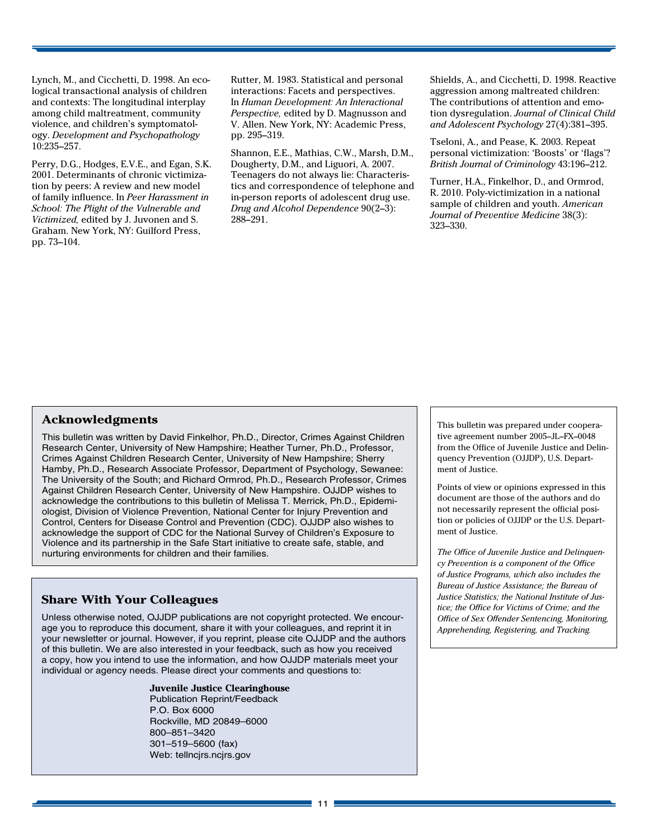Lynch, M., and Cicchetti, D. 1998. An ecological transactional analysis of children and contexts: The longitudinal interplay among child maltreatment, community violence, and children's symptomatology. *Development and Psychopathology*  10:235–257.

Perry, D.G., Hodges, E.V.E., and Egan, S.K. 2001. Determinants of chronic victimization by peers: A review and new model of family influence. In *Peer Harassment in School: The Plight of the Vulnerable and Victimized,* edited by J. Juvonen and S. Graham. New York, NY: Guilford Press, pp. 73–104.

Rutter, M. 1983. Statistical and personal interactions: Facets and perspectives. In *Human Development: An Interactional Perspective,* edited by D. Magnusson and V. Allen. New York, NY: Academic Press, pp. 295–319.

Shannon, E.E., Mathias, C.W., Marsh, D.M., Dougherty, D.M., and Liguori, A. 2007. Teenagers do not always lie: Characteristics and correspondence of telephone and in-person reports of adolescent drug use. *Drug and Alcohol Dependence* 90(2–3): 288–291.

Shields, A., and Cicchetti, D. 1998. Reactive aggression among maltreated children: The contributions of attention and emotion dysregulation. *Journal of Clinical Child and Adolescent Psychology* 27(4):381–395.

Tseloni, A., and Pease, K. 2003. Repeat personal victimization: 'Boosts' or 'flags'? *British Journal of Criminology* 43:196–212.

Turner, H.A., Finkelhor, D., and Ormrod, R. 2010. Poly-victimization in a national sample of children and youth. *American Journal of Preventive Medicine* 38(3): 323–330.

### **Acknowledgments**

This bulletin was written by David Finkelhor, Ph.D., Director, Crimes Against Children Research Center, University of New Hampshire; Heather Turner, Ph.D., Professor, Crimes Against Children Research Center, University of New Hampshire; Sherry Hamby, Ph.D., Research Associate Professor, Department of Psychology, Sewanee: The University of the South; and Richard Ormrod, Ph.D., Research Professor, Crimes Against Children Research Center, University of New Hampshire. OJJDP wishes to acknowledge the contributions to this bulletin of Melissa T. Merrick, Ph.D., Epidemiologist, Division of Violence Prevention, National Center for Injury Prevention and Control, Centers for Disease Control and Prevention (CDC). OJJDP also wishes to acknowledge the support of CDC for the National Survey of Children's Exposure to Violence and its partnership in the Safe Start initiative to create safe, stable, and nurturing environments for children and their families.

### **Share With Your Colleagues**

Unless otherwise noted, OJJDP publications are not copyright protected. We encourage you to reproduce this document, share it with your colleagues, and reprint it in your newsletter or journal. However, if you reprint, please cite OJJDP and the authors of this bulletin. We are also interested in your feedback, such as how you received a copy, how you intend to use the information, and how OJJDP materials meet your individual or agency needs. Please direct your comments and questions to:

> **Juvenile Justice Clearinghouse** Publication Reprint/Feedback P.O. Box 6000 Rockville, MD 20849–6000 800–851–3420 301–519–5600 (fax) Web: tellncjrs.ncjrs.gov

This bulletin was prepared under cooperative agreement number 2005–JL–FX–0048 from the Office of Juvenile Justice and Delinquency Prevention (OJJDP), U.S. Department of Justice.

Points of view or opinions expressed in this document are those of the authors and do not necessarily represent the official position or policies of OJJDP or the U.S. Department of Justice.

*The Office of Juvenile Justice and Delinquency Prevention is a component of the Office of Justice Programs, which also includes the Bureau of Justice Assistance; the Bureau of Justice Statistics; the National Institute of Justice; the Office for Victims of Crime; and the Office of Sex Offender Sentencing, Monitoring, Apprehending, Registering, and Tracking.*